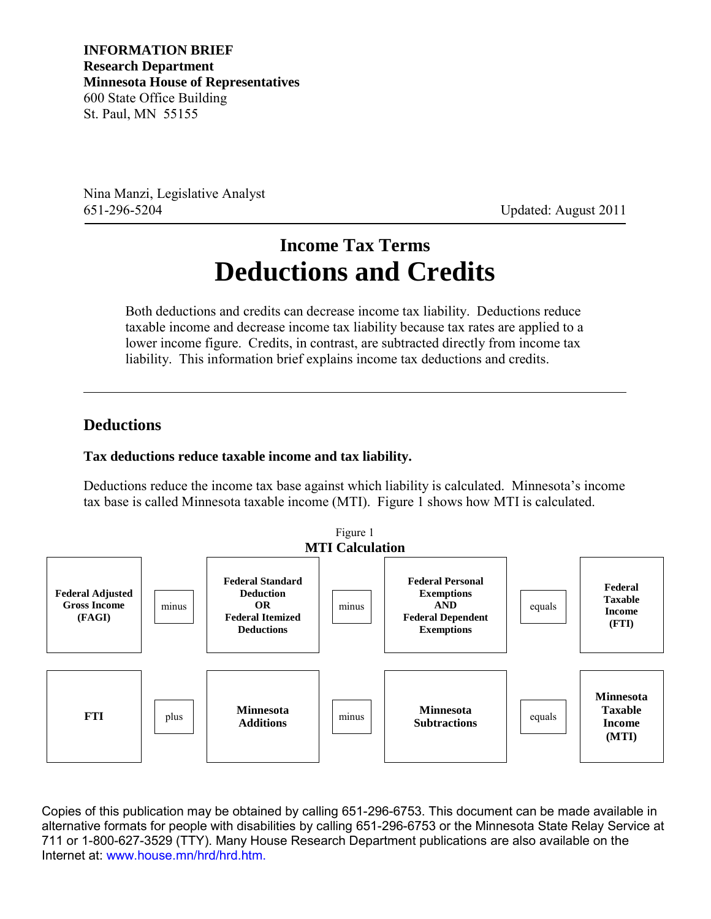**INFORMATION BRIEF Research Department Minnesota House of Representatives** 600 State Office Building St. Paul, MN 55155

Nina Manzi, Legislative Analyst 651-296-5204 Updated: August 2011

# **Income Tax Terms Deductions and Credits**

Both deductions and credits can decrease income tax liability. Deductions reduce taxable income and decrease income tax liability because tax rates are applied to a lower income figure. Credits, in contrast, are subtracted directly from income tax liability. This information brief explains income tax deductions and credits.

### **Deductions**

#### **Tax deductions reduce taxable income and tax liability.**

Deductions reduce the income tax base against which liability is calculated. Minnesota's income tax base is called Minnesota taxable income (MTI). Figure 1 shows how MTI is calculated.



Copies of this publication may be obtained by calling 651-296-6753. This document can be made available in alternative formats for people with disabilities by calling 651-296-6753 or the Minnesota State Relay Service at 711 or 1-800-627-3529 (TTY). Many House Research Department publications are also available on the Internet at: www.house.mn/hrd/hrd.htm.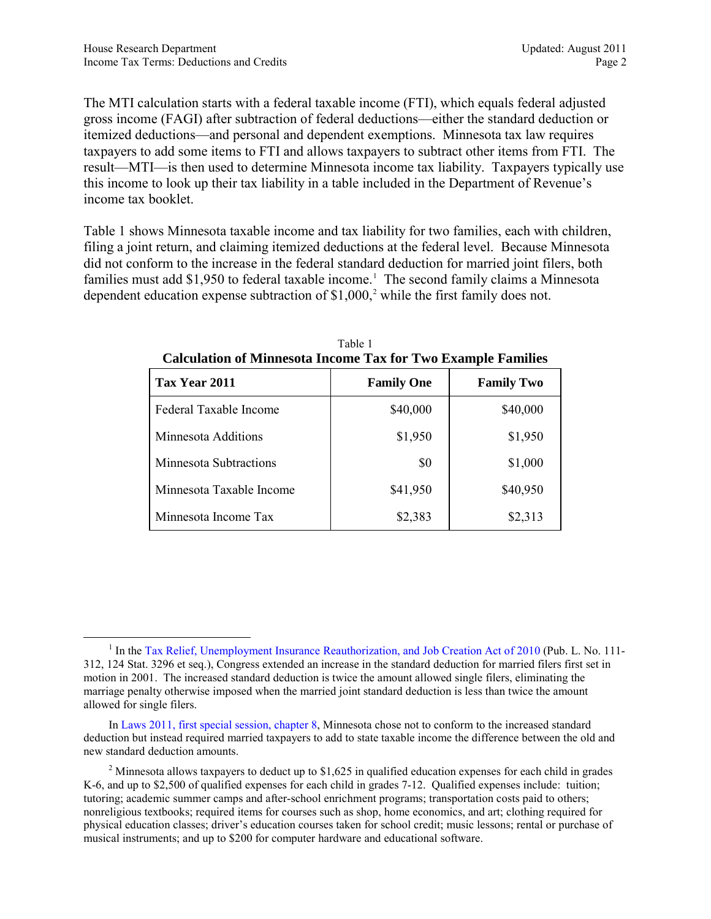The MTI calculation starts with a federal taxable income (FTI), which equals federal adjusted gross income (FAGI) after subtraction of federal deductions—either the standard deduction or itemized deductions—and personal and dependent exemptions. Minnesota tax law requires taxpayers to add some items to FTI and allows taxpayers to subtract other items from FTI. The result—MTI—is then used to determine Minnesota income tax liability. Taxpayers typically use this income to look up their tax liability in a table included in the Department of Revenue's income tax booklet.

Table 1 shows Minnesota taxable income and tax liability for two families, each with children, filing a joint return, and claiming itemized deductions at the federal level. Because Minnesota did not conform to the increase in the federal standard deduction for married joint filers, both families must add \$[1](#page-1-0),950 to federal taxable income.<sup>1</sup> The second family claims a Minnesota dependent education expense subtraction of  $$1,000$ ,<sup>[2](#page-1-1)</sup> while the first family does not.

| Calculation of Minnicsola Hicolity Tax for Two Example Families |                   |                   |  |
|-----------------------------------------------------------------|-------------------|-------------------|--|
| Tax Year 2011                                                   | <b>Family One</b> | <b>Family Two</b> |  |
| Federal Taxable Income                                          | \$40,000          | \$40,000          |  |
| Minnesota Additions                                             | \$1,950           | \$1,950           |  |
| <b>Minnesota Subtractions</b>                                   | \$0               | \$1,000           |  |
| Minnesota Taxable Income                                        | \$41,950          | \$40,950          |  |
| Minnesota Income Tax                                            | \$2,383           | \$2,313           |  |

<span id="page-1-2"></span>Table 1 **Calculation of Minnesota Income Tax for Two Example Families**

<span id="page-1-0"></span><sup>&</sup>lt;sup>1</sup> In the [Tax Relief, Unemployment Insurance Reauthorization, and Job Creation Act of 2010](http://www.irs.gov/newsroom/article/0,,id=233907,00.html) (Pub. L. No. 111-312, 124 Stat. 3296 et seq.), Congress extended an increase in the standard deduction for married filers first set in motion in 2001. The increased standard deduction is twice the amount allowed single filers, eliminating the marriage penalty otherwise imposed when the married joint standard deduction is less than twice the amount allowed for single filers.

In [Laws 2011, first special session, chapter 8,](https://www.revisor.mn.gov/laws/?id=8&doctype=Chapter&year=2011&type=1) Minnesota chose not to conform to the increased standard deduction but instead required married taxpayers to add to state taxable income the difference between the old and new standard deduction amounts.

<span id="page-1-1"></span><sup>&</sup>lt;sup>2</sup> Minnesota allows taxpayers to deduct up to \$1,625 in qualified education expenses for each child in grades K-6, and up to \$2,500 of qualified expenses for each child in grades 7-12. Qualified expenses include: tuition; tutoring; academic summer camps and after-school enrichment programs; transportation costs paid to others; nonreligious textbooks; required items for courses such as shop, home economics, and art; clothing required for physical education classes; driver's education courses taken for school credit; music lessons; rental or purchase of musical instruments; and up to \$200 for computer hardware and educational software.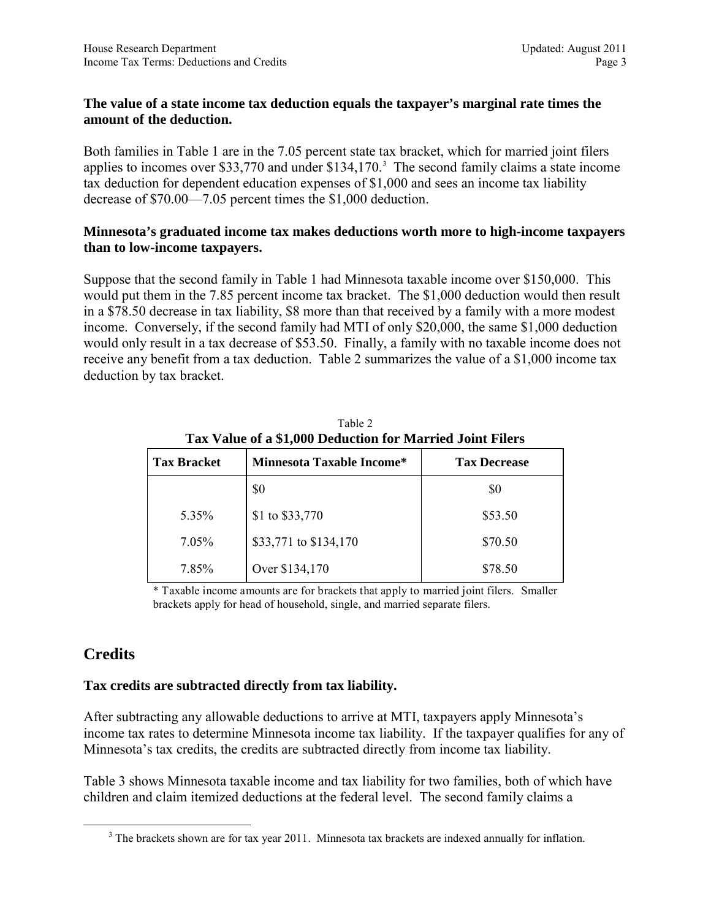#### **The value of a state income tax deduction equals the taxpayer's marginal rate times the amount of the deduction.**

Both families in Table 1 are in the 7.05 percent state tax bracket, which for married joint filers applies to incomes over \$[3](#page-2-0)3,770 and under  $$134,170$ .<sup>3</sup> The second family claims a state income tax deduction for dependent education expenses of \$1,000 and sees an income tax liability decrease of \$70.00—7.05 percent times the \$1,000 deduction.

#### **Minnesota's graduated income tax makes deductions worth more to high-income taxpayers than to low-income taxpayers.**

Suppose that the second family in Table 1 had Minnesota taxable income over \$150,000. This would put them in the 7.85 percent income tax bracket. The \$1,000 deduction would then result in a \$78.50 decrease in tax liability, \$8 more than that received by a family with a more modest income. Conversely, if the second family had MTI of only \$20,000, the same \$1,000 deduction would only result in a tax decrease of \$53.50. Finally, a family with no taxable income does not receive any benefit from a tax deduction. Table 2 summarizes the value of a \$1,000 income tax deduction by tax bracket.

|                    | Tax Value of a \$1,000 Deduction for Married Joint Filers |                     |  |
|--------------------|-----------------------------------------------------------|---------------------|--|
| <b>Tax Bracket</b> | Minnesota Taxable Income*                                 | <b>Tax Decrease</b> |  |
|                    | \$0                                                       | \$0                 |  |
| 5.35%              | \$1 to \$33,770                                           | \$53.50             |  |
| 7.05%              | \$33,771 to \$134,170                                     | \$70.50             |  |
| 7.85%              | Over \$134,170                                            | \$78.50             |  |

Table 2 **Tax Value of a \$1,000 Deduction for Married Joint Filers**

\* Taxable income amounts are for brackets that apply to married joint filers. Smaller brackets apply for head of household, single, and married separate filers.

## **Credits**

#### **Tax credits are subtracted directly from tax liability.**

After subtracting any allowable deductions to arrive at MTI, taxpayers apply Minnesota's income tax rates to determine Minnesota income tax liability. If the taxpayer qualifies for any of Minnesota's tax credits, the credits are subtracted directly from income tax liability.

<span id="page-2-0"></span>Table 3 shows Minnesota taxable income and tax liability for two families, both of which have children and claim itemized deductions at the federal level. The second family claims a

<sup>&</sup>lt;sup>3</sup> The brackets shown are for tax year 2011. Minnesota tax brackets are indexed annually for inflation.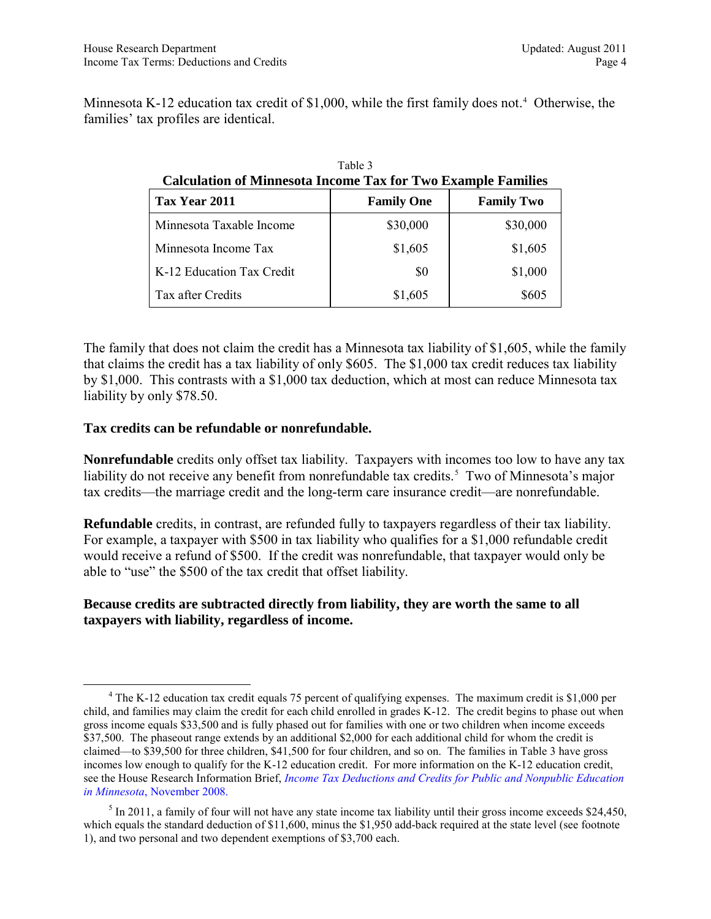Minnesota K-12 education tax credit of  $$1,000$ , while the first family does not.<sup>[4](#page-3-0)</sup> Otherwise, the families' tax profiles are identical.

Table 3

| <b>Calculation of Minnesota Income Tax for Two Example Families</b> |                   |                   |  |
|---------------------------------------------------------------------|-------------------|-------------------|--|
| Tax Year 2011                                                       | <b>Family One</b> | <b>Family Two</b> |  |
| Minnesota Taxable Income                                            | \$30,000          | \$30,000          |  |
| Minnesota Income Tax                                                | \$1,605           | \$1,605           |  |
| K-12 Education Tax Credit                                           | \$0               | \$1,000           |  |
| Tax after Credits                                                   | \$1,605           | \$605             |  |

| The family that does not claim the credit has a Minnesota tax liability of \$1,605, while the family   |
|--------------------------------------------------------------------------------------------------------|
| that claims the credit has a tax liability of only \$605. The \$1,000 tax credit reduces tax liability |
| by \$1,000. This contrasts with a \$1,000 tax deduction, which at most can reduce Minnesota tax        |
| liability by only \$78.50.                                                                             |

#### **Tax credits can be refundable or nonrefundable.**

**Nonrefundable** credits only offset tax liability. Taxpayers with incomes too low to have any tax liability do not receive any benefit from nonrefundable tax credits.<sup>[5](#page-3-1)</sup> Two of Minnesota's major tax credits—the marriage credit and the long-term care insurance credit—are nonrefundable.

**Refundable** credits, in contrast, are refunded fully to taxpayers regardless of their tax liability. For example, a taxpayer with \$500 in tax liability who qualifies for a \$1,000 refundable credit would receive a refund of \$500. If the credit was nonrefundable, that taxpayer would only be able to "use" the \$500 of the tax credit that offset liability.

#### **Because credits are subtracted directly from liability, they are worth the same to all taxpayers with liability, regardless of income.**

<span id="page-3-0"></span><sup>&</sup>lt;sup>4</sup> The K-12 education tax credit equals 75 percent of qualifying expenses. The maximum credit is \$1,000 per child, and families may claim the credit for each child enrolled in grades K-12. The credit begins to phase out when gross income equals \$33,500 and is fully phased out for families with one or two children when income exceeds \$37,500. The phaseout range extends by an additional \$2,000 for each additional child for whom the credit is claimed—to \$39,500 for three children, \$41,500 for four children, and so on. The families in Table 3 have gross incomes low enough to qualify for the K-12 education credit. For more information on the K-12 education credit, see the House Research Information Brief, *[Income Tax Deductions and Credits for Public and Nonpublic Education](http://www.house.leg.state.mn.us/hrd/pubs/educcred.pdf)  in Minnesota*[, November 2008.](http://www.house.leg.state.mn.us/hrd/pubs/educcred.pdf)

<span id="page-3-1"></span> $5$  In 2011, a family of four will not have any state income tax liability until their gross income exceeds \$24,450, which equals the standard deduction of \$11,600, minus the \$1,950 add-back required at the state level (see footnote [1\)](#page-1-2), and two personal and two dependent exemptions of \$3,700 each.